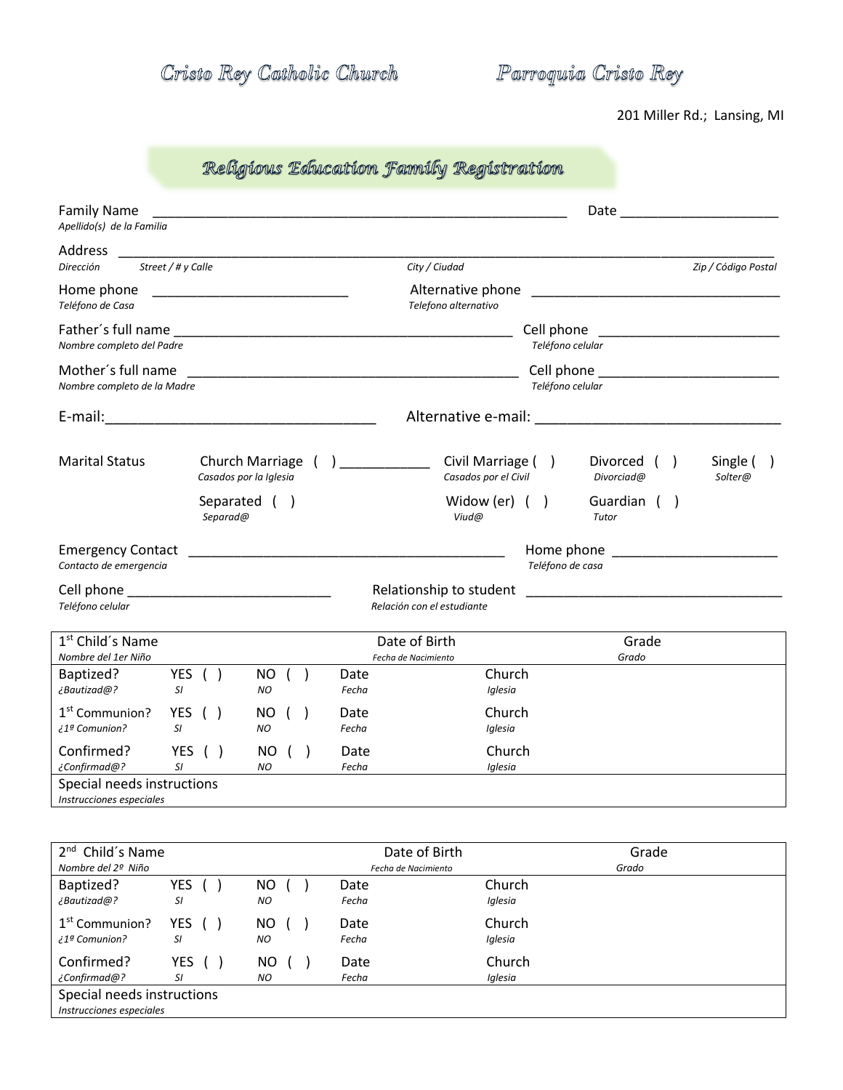Cristo Rey Catholic Church

Parroquia Cristo Rey

201 Miller Rd.; Lansing, MI

## Religious Education Family Registration

| <b>Family Name</b><br>Apellido(s) de la Familia                                                                                    |           |                                                                                                                        |                   |  |               |                                                                                                                                           |  |  |                  | Date                                                              |  |                                                                                                                |
|------------------------------------------------------------------------------------------------------------------------------------|-----------|------------------------------------------------------------------------------------------------------------------------|-------------------|--|---------------|-------------------------------------------------------------------------------------------------------------------------------------------|--|--|------------------|-------------------------------------------------------------------|--|----------------------------------------------------------------------------------------------------------------|
| Address<br>Street / # y Calle<br>Dirección                                                                                         |           |                                                                                                                        |                   |  |               | City / Ciudad                                                                                                                             |  |  |                  |                                                                   |  | Zip / Código Postal                                                                                            |
| Home phone<br>Teléfono de Casa                                                                                                     |           | <u> 1980 - Johann John Harry Harry Harry Harry Harry Harry Harry Harry Harry Harry Harry Harry Harry Harry Harry H</u> |                   |  |               | Alternative phone<br>Telefono alternativo                                                                                                 |  |  |                  |                                                                   |  |                                                                                                                |
| Nombre completo del Padre                                                                                                          |           |                                                                                                                        |                   |  |               |                                                                                                                                           |  |  | Teléfono celular |                                                                   |  | Cell phone experience and the set of the set of the set of the set of the set of the set of the set of the set |
| Mother's full name<br>Nombre completo de la Madre                                                                                  |           |                                                                                                                        |                   |  |               | <u> 1989 - Johann John Stoff, deutscher Stoffen und der Stoffen und der Stoffen und der Stoffen und der Stoffen u</u><br>Teléfono celular |  |  |                  |                                                                   |  |                                                                                                                |
| E-mail:<br><u> 1989 - Jan James James James James James James James James James James James James James James James James J</u>    |           |                                                                                                                        |                   |  |               | Alternative e-mail:                                                                                                                       |  |  |                  |                                                                   |  |                                                                                                                |
| <b>Marital Status</b>                                                                                                              |           | Church Marriage (<br>Casados por la Iglesia                                                                            |                   |  |               | Civil Marriage ()<br>Casados por el Civil                                                                                                 |  |  |                  | Divorced (<br>Divorciad@                                          |  | Single (<br>Solter@                                                                                            |
|                                                                                                                                    |           | Separated (<br>Separad@                                                                                                |                   |  |               | Widow (er) $( )$<br>Viud@                                                                                                                 |  |  |                  | Guardian ()<br>Tutor                                              |  |                                                                                                                |
| <b>Emergency Contact</b><br>Contacto de emergencia                                                                                 |           |                                                                                                                        |                   |  |               |                                                                                                                                           |  |  | Teléfono de casa | Home phone <b>contract the series of the series of the series</b> |  |                                                                                                                |
| Cell phone and the contract of the contract of the contract of the contract of the contract of the contract of<br>Teléfono celular |           |                                                                                                                        |                   |  |               | Relationship to student<br>Relación con el estudiante                                                                                     |  |  |                  |                                                                   |  |                                                                                                                |
| 1 <sup>st</sup> Child's Name<br>Nombre del 1er Niño                                                                                |           |                                                                                                                        |                   |  |               | Date of Birth<br>Fecha de Nacimiento                                                                                                      |  |  |                  | Grade<br>Grado                                                    |  |                                                                                                                |
| Baptized?<br>¿Bautizad@?<br>SI                                                                                                     | YES ( )   |                                                                                                                        | NO ( )<br>NO      |  | Date<br>Fecha | Church<br>Iglesia                                                                                                                         |  |  |                  |                                                                   |  |                                                                                                                |
| 1 <sup>st</sup> Communion?<br><sup>2</sup> Comunion?<br>SI.                                                                        | YES ()    |                                                                                                                        | NO<br>NO.         |  | Date<br>Fecha | Church<br>Iglesia                                                                                                                         |  |  |                  |                                                                   |  |                                                                                                                |
| Confirmed?<br>¿Confirmad@?<br>SI                                                                                                   | YES $( )$ |                                                                                                                        | NO()<br><b>NO</b> |  | Date<br>Fecha | Church<br>Iglesia                                                                                                                         |  |  |                  |                                                                   |  |                                                                                                                |
| Special needs instructions<br>Instrucciones especiales                                                                             |           |                                                                                                                        |                   |  |               |                                                                                                                                           |  |  |                  |                                                                   |  |                                                                                                                |

| 2 <sup>nd</sup> Child's Name<br>Nombre del 2º Niño     |        |     | Date of Birth<br>Fecha de Nacimiento |         | Grade<br>Grado |  |  |  |
|--------------------------------------------------------|--------|-----|--------------------------------------|---------|----------------|--|--|--|
| Baptized?                                              | YES (  | NO  | Date                                 | Church  |                |  |  |  |
| ¿Bautizad@?                                            | SI     | NO. | Fecha                                | Iglesia |                |  |  |  |
| 1 <sup>st</sup> Communion?                             | YES () | NO. | Date                                 | Church  |                |  |  |  |
| ? Comunion בُ 1                                        | SI     | NO  | Fecha                                | Iglesia |                |  |  |  |
| Confirmed?                                             | YES (  | NO. | Date                                 | Church  |                |  |  |  |
| ¿Confirmad@?                                           | SI     | NO  | Fecha                                | Iglesia |                |  |  |  |
| Special needs instructions<br>Instrucciones especiales |        |     |                                      |         |                |  |  |  |